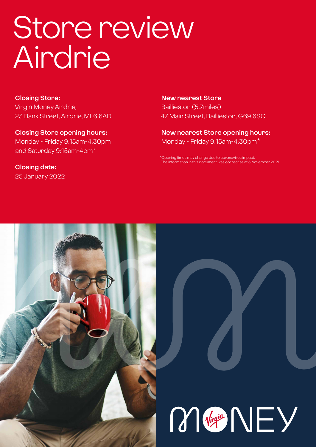# Store review **Airdrie**

**Closing Store:** Virgin Money Airdrie, 23 Bank Street, Airdrie, ML6 6AD

**Closing Store opening hours:**  Monday - Friday 9:15am-4:30pm and Saturday 9:15am-4pm\*

**Closing date:**  25 January 2022

**New nearest Store** Baillieston (5.7miles) 47 Main Street, Baillieston, G69 6SQ

**New nearest Store opening hours:** Monday - Friday 9:15am-4:30pm\*

ening times may change due to coronavirus impact The information in this document was correct as at 5 November 2021



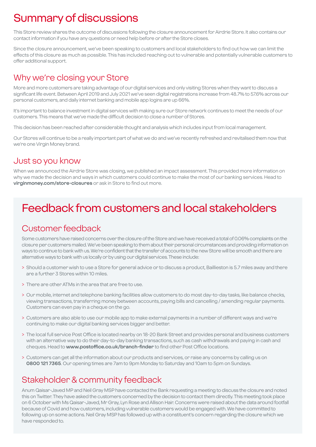# Summary of discussions

This Store review shares the outcome of discussions following the closure announcement for Airdrie Store. It also contains our contact information if you have any questions or need help before or after the Store closes.

Since the closure announcement, we've been speaking to customers and local stakeholders to find out how we can limit the effects of this closure as much as possible. This has included reaching out to vulnerable and potentially vulnerable customers to offer additional support.

### Why we're closing your Store

More and more customers are taking advantage of our digital services and only visiting Stores when they want to discuss a significant life event. Between April 2019 and July 2021 we've seen digital registrations increase from 48.7% to 57.6% across our personal customers, and daily internet banking and mobile app logins are up 66%.

It's important to balance investment in digital services with making sure our Store network continues to meet the needs of our customers. This means that we've made the difficult decision to close a number of Stores.

This decision has been reached after considerable thought and analysis which includes input from local management.

Our Stores will continue to be a really important part of what we do and we've recently refreshed and revitalised them now that we're one Virgin Money brand.

### Just so you know

When we announced the Airdrie Store was closing, we published an impact assessment. This provided more information on why we made the decision and ways in which customers could continue to make the most of our banking services. Head to **virginmoney.com/store-closures** or ask in Store to find out more.

# Feedback from customers and local stakeholders

### Customer feedback

Some customers have raised concerns over the closure of the Store and we have received a total of 0.06% complaints on the closure per customers mailed. We've been speaking to them about their personal circumstances and providing information on ways to continue to bank with us. We're confident that the transfer of accounts to the new Store will be smooth and there are alternative ways to bank with us locally or by using our digital services. These include:

- > Should a customer wish to use a Store for general advice or to discuss a product, Baillieston is 5.7 miles away and there are a further 3 Stores within 10 miles.
- > There are other ATMs in the area that are free to use.
- > Our mobile, internet and telephone banking facilities allow customers to do most day-to-day tasks, like balance checks, viewing transactions, transferring money between accounts, paying bills and cancelling / amending regular payments. Customers can even pay in a cheque on the go.
- > Customers are also able to use our mobile app to make external payments in a number of different ways and we're continuing to make our digital banking services bigger and better.
- > The local full service Post Office is located nearby on 18-20 Bank Street and provides personal and business customers with an alternative way to do their day-to-day banking transactions, such as cash withdrawals and paying in cash and cheques. Head to **www.postoffice.co.uk/branch-finder** to find other Post Office locations.
- > Customers can get all the information about our products and services, or raise any concerns by calling us on **0800 121 7365**. Our opening times are 7am to 9pm Monday to Saturday and 10am to 5pm on Sundays.

### Stakeholder & community feedback

Anum Qaisar-Javed MP and Neil Gray MSP have contacted the Bank requesting a meeting to discuss the closure and noted this on Twitter. They have asked the customers concerned by the decision to contact them directly. This meeting took place on 6 October with Ms Qaisar-Javed, Mr Gray, Lyn Rose and Allison Hair. Concerns were raised about the data around footfall because of Covid and how customers, including vulnerable customers would be engaged with. We have committed to following up on some actions. Neil Gray MSP has followed up with a constituent's concern regarding the closure which we have responded to.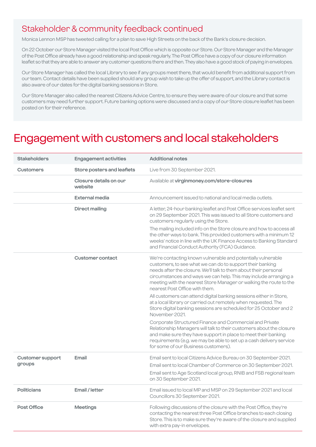### Stakeholder & community feedback continued

Monica Lennon MSP has tweeted calling for a plan to save High Streets on the back of the Bank's closure decision.

On 22 October our Store Manager visited the local Post Office which is opposite our Store. Our Store Manager and the Manager of the Post Office already have a good relationship and speak regularly. The Post Office have a copy of our closure information leaflet so that they are able to answer any customer questions there and then. They also have a good stock of paying in envelopes.

Our Store Manager has called the local Library to see if any groups meet there, that would benefit from additional support from our team. Contact details have been supplied should any group wish to take up the offer of support, and the Library contact is also aware of our dates for the digital banking sessions in Store.

Our Store Manager also called the nearest Citizens Advice Centre, to ensure they were aware of our closure and that some customers may need further support. Future banking options were discussed and a copy of our Store closure leaflet has been posted on for their reference.

### Engagement with customers and local stakeholders

| <b>Stakeholders</b>               | <b>Engagement activities</b>      | <b>Additional notes</b>                                                                                                                                                                                                                                                                                                                                                   |
|-----------------------------------|-----------------------------------|---------------------------------------------------------------------------------------------------------------------------------------------------------------------------------------------------------------------------------------------------------------------------------------------------------------------------------------------------------------------------|
| <b>Customers</b>                  | Store posters and leaflets        | Live from 30 September 2021.                                                                                                                                                                                                                                                                                                                                              |
|                                   | Closure details on our<br>website | Available at virginmoney.com/store-closures                                                                                                                                                                                                                                                                                                                               |
|                                   | <b>External media</b>             | Announcement issued to national and local media outlets.                                                                                                                                                                                                                                                                                                                  |
|                                   | <b>Direct mailing</b>             | A letter, 24-hour banking leaflet and Post Office services leaflet sent<br>on 29 September 2021. This was issued to all Store customers and<br>customers regularly using the Store.                                                                                                                                                                                       |
|                                   |                                   | The mailing included info on the Store closure and how to access all<br>the other ways to bank. This provided customers with a minimum 12<br>weeks' notice in line with the UK Finance Access to Banking Standard<br>and Financial Conduct Authority (FCA) Guidance.                                                                                                      |
|                                   | <b>Customer contact</b>           | We're contacting known vulnerable and potentially vulnerable<br>customers, to see what we can do to support their banking<br>needs after the closure. We'll talk to them about their personal<br>circumstances and ways we can help. This may include arranging a<br>meeting with the nearest Store Manager or walking the route to the<br>nearest Post Office with them. |
|                                   |                                   | All customers can attend digital banking sessions either in Store,<br>at a local library or carried out remotely when requested. The<br>Store digital banking sessions are scheduled for 25 October and 2<br>November 2021.                                                                                                                                               |
|                                   |                                   | Corporate Structured Finance and Commercial and Private<br>Relationship Managers will talk to their customers about the closure<br>and make sure they have support in place to meet their banking<br>requirements (e.g. we may be able to set up a cash delivery service<br>for some of our Business customers).                                                          |
| <b>Customer support</b><br>groups | Email                             | Email sent to local Citizens Advice Bureau on 30 September 2021.<br>Email sent to local Chamber of Commerce on 30 September 2021.<br>Email sent to Age Scotland local group, RNIB and FSB regional team<br>on 30 September 2021.                                                                                                                                          |
| <b>Politicians</b>                | Email / letter                    | Email issued to local MP and MSP on 29 September 2021 and local<br>Councillors 30 September 2021.                                                                                                                                                                                                                                                                         |
| <b>Post Office</b>                | <b>Meetings</b>                   | Following discussions of the closure with the Post Office, they're<br>contacting the nearest three Post Office branches to each closing<br>Store. This is to make sure they're aware of the closure and supplied<br>with extra pay-in envelopes.                                                                                                                          |